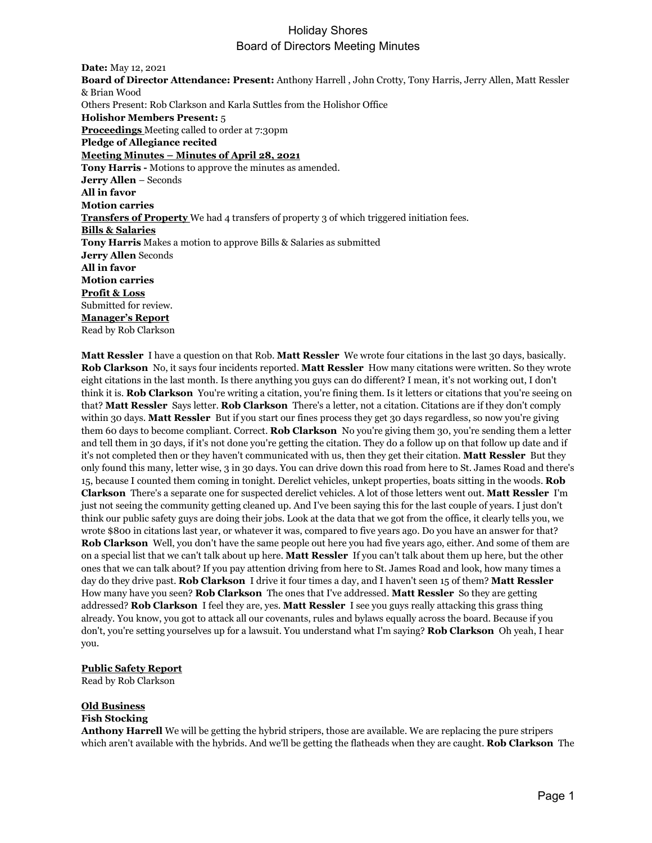# Holiday Shores Board of Directors Meeting Minutes

**Date:** May 12, 2021 **Board of Director Attendance: Present:** Anthony Harrell , John Crotty, Tony Harris, Jerry Allen, Matt Ressler & Brian Wood Others Present: Rob Clarkson and Karla Suttles from the Holishor Office **Holishor Members Present:** 5 **Proceedings** Meeting called to order at 7:30pm **Pledge of Allegiance recited Meeting Minutes – Minutes of April 28, 2021 Tony Harris -** Motions to approve the minutes as amended. **Jerry Allen** – Seconds **All in favor Motion carries Transfers of Property** We had 4 transfers of property 3 of which triggered initiation fees. **Bills & Salaries Tony Harris** Makes a motion to approve Bills & Salaries as submitted **Jerry Allen** Seconds **All in favor Motion carries Profit & Loss** Submitted for review. **Manager's Report** Read by Rob Clarkson

**Matt Ressler** I have a question on that Rob. **Matt Ressler** We wrote four citations in the last 30 days, basically. **Rob Clarkson** No, it says four incidents reported. **Matt Ressler** How many citations were written. So they wrote eight citations in the last month. Is there anything you guys can do different? I mean, it's not working out, I don't think it is. **Rob Clarkson** You're writing a citation, you're fining them. Is it letters or citations that you're seeing on that? **Matt Ressler** Says letter. **Rob Clarkson** There's a letter, not a citation. Citations are if they don't comply within 30 days. **Matt Ressler** But if you start our fines process they get 30 days regardless, so now you're giving them 60 days to become compliant. Correct. **Rob Clarkson** No you're giving them 30, you're sending them a letter and tell them in 30 days, if it's not done you're getting the citation. They do a follow up on that follow up date and if it's not completed then or they haven't communicated with us, then they get their citation. **Matt Ressler** But they only found this many, letter wise, 3 in 30 days. You can drive down this road from here to St. James Road and there's 15, because I counted them coming in tonight. Derelict vehicles, unkept properties, boats sitting in the woods. **Rob Clarkson** There's a separate one for suspected derelict vehicles. A lot of those letters went out. **Matt Ressler** I'm just not seeing the community getting cleaned up. And I've been saying this for the last couple of years. I just don't think our public safety guys are doing their jobs. Look at the data that we got from the office, it clearly tells you, we wrote \$800 in citations last year, or whatever it was, compared to five years ago. Do you have an answer for that? **Rob Clarkson** Well, you don't have the same people out here you had five years ago, either. And some of them are on a special list that we can't talk about up here. **Matt Ressler** If you can't talk about them up here, but the other ones that we can talk about? If you pay attention driving from here to St. James Road and look, how many times a day do they drive past. **Rob Clarkson** I drive it four times a day, and I haven't seen 15 of them? **Matt Ressler**  How many have you seen? **Rob Clarkson** The ones that I've addressed. **Matt Ressler** So they are getting addressed? **Rob Clarkson** I feel they are, yes. **Matt Ressler** I see you guys really attacking this grass thing already. You know, you got to attack all our covenants, rules and bylaws equally across the board. Because if you don't, you're setting yourselves up for a lawsuit. You understand what I'm saying? **Rob Clarkson** Oh yeah, I hear you.

#### **Public Safety Report**

Read by Rob Clarkson

## **Old Business**

#### **Fish Stocking**

**Anthony Harrell** We will be getting the hybrid stripers, those are available. We are replacing the pure stripers which aren't available with the hybrids. And we'll be getting the flatheads when they are caught. **Rob Clarkson** The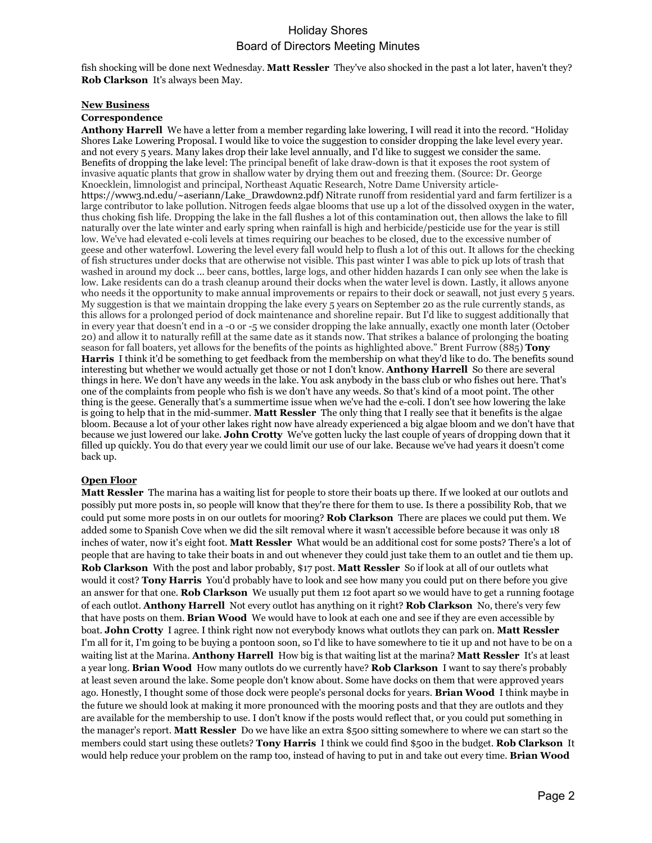## Holiday Shores Board of Directors Meeting Minutes

fish shocking will be done next Wednesday. **Matt Ressler** They've also shocked in the past a lot later, haven't they? **Rob Clarkson** It's always been May.

#### **New Business**

#### **Correspondence**

**Anthony Harrell** We have a letter from a member regarding lake lowering, I will read it into the record. "Holiday Shores Lake Lowering Proposal. I would like to voice the suggestion to consider dropping the lake level every year. and not every 5 years. Many lakes drop their lake level annually, and I'd like to suggest we consider the same. Benefits of dropping the lake level: The principal benefit of lake draw-down is that it exposes the root system of invasive aquatic plants that grow in shallow water by drying them out and freezing them. (Source: Dr. George Knoecklein, limnologist and principal, Northeast Aquatic Research, Notre Dame University article[https://www3.nd.edu/~aseriann/Lake\\_Drawdown2.pdf\)](https://www3.nd.edu/%7Easeriann/Lake_Drawdown2.pdf) Nitrate runoff from residential yard and farm fertilizer is a large contributor to lake pollution. Nitrogen feeds algae blooms that use up a lot of the dissolved oxygen in the water, thus choking fish life. Dropping the lake in the fall flushes a lot of this contamination out, then allows the lake to fill naturally over the late winter and early spring when rainfall is high and herbicide/pesticide use for the year is still low. We've had elevated e-coli levels at times requiring our beaches to be closed, due to the excessive number of geese and other waterfowl. Lowering the level every fall would help to flush a lot of this out. It allows for the checking of fish structures under docks that are otherwise not visible. This past winter I was able to pick up lots of trash that washed in around my dock ... beer cans, bottles, large logs, and other hidden hazards I can only see when the lake is low. Lake residents can do a trash cleanup around their docks when the water level is down. Lastly, it allows anyone who needs it the opportunity to make annual improvements or repairs to their dock or seawall, not just every 5 years. My suggestion is that we maintain dropping the lake every 5 years on September 20 as the rule currently stands, as this allows for a prolonged period of dock maintenance and shoreline repair. But I'd like to suggest additionally that in every year that doesn't end in a -0 or -5 we consider dropping the lake annually, exactly one month later (October 20) and allow it to naturally refill at the same date as it stands now. That strikes a balance of prolonging the boating season for fall boaters, yet allows for the benefits of the points as highlighted above." Brent Furrow (885) **Tony Harris** I think it'd be something to get feedback from the membership on what they'd like to do. The benefits sound interesting but whether we would actually get those or not I don't know. **Anthony Harrell** So there are several things in here. We don't have any weeds in the lake. You ask anybody in the bass club or who fishes out here. That's one of the complaints from people who fish is we don't have any weeds. So that's kind of a moot point. The other thing is the geese. Generally that's a summertime issue when we've had the e-coli. I don't see how lowering the lake is going to help that in the mid-summer. **Matt Ressler** The only thing that I really see that it benefits is the algae bloom. Because a lot of your other lakes right now have already experienced a big algae bloom and we don't have that because we just lowered our lake. **John Crotty** We've gotten lucky the last couple of years of dropping down that it filled up quickly. You do that every year we could limit our use of our lake. Because we've had years it doesn't come back up.

### **Open Floor**

**Matt Ressler** The marina has a waiting list for people to store their boats up there. If we looked at our outlots and possibly put more posts in, so people will know that they're there for them to use. Is there a possibility Rob, that we could put some more posts in on our outlets for mooring? **Rob Clarkson** There are places we could put them. We added some to Spanish Cove when we did the silt removal where it wasn't accessible before because it was only 18 inches of water, now it's eight foot. **Matt Ressler** What would be an additional cost for some posts? There's a lot of people that are having to take their boats in and out whenever they could just take them to an outlet and tie them up. **Rob Clarkson** With the post and labor probably, \$17 post. **Matt Ressler** So if look at all of our outlets what would it cost? **Tony Harris** You'd probably have to look and see how many you could put on there before you give an answer for that one. **Rob Clarkson** We usually put them 12 foot apart so we would have to get a running footage of each outlot. **Anthony Harrell** Not every outlot has anything on it right? **Rob Clarkson** No, there's very few that have posts on them. **Brian Wood** We would have to look at each one and see if they are even accessible by boat. **John Crotty** I agree. I think right now not everybody knows what outlots they can park on. **Matt Ressler**  I'm all for it, I'm going to be buying a pontoon soon, so I'd like to have somewhere to tie it up and not have to be on a waiting list at the Marina. **Anthony Harrell** How big is that waiting list at the marina? **Matt Ressler** It's at least a year long. **Brian Wood** How many outlots do we currently have? **Rob Clarkson** I want to say there's probably at least seven around the lake. Some people don't know about. Some have docks on them that were approved years ago. Honestly, I thought some of those dock were people's personal docks for years. **Brian Wood** I think maybe in the future we should look at making it more pronounced with the mooring posts and that they are outlots and they are available for the membership to use. I don't know if the posts would reflect that, or you could put something in the manager's report. **Matt Ressler** Do we have like an extra \$500 sitting somewhere to where we can start so the members could start using these outlets? **Tony Harris** I think we could find \$500 in the budget. **Rob Clarkson** It would help reduce your problem on the ramp too, instead of having to put in and take out every time. **Brian Wood**